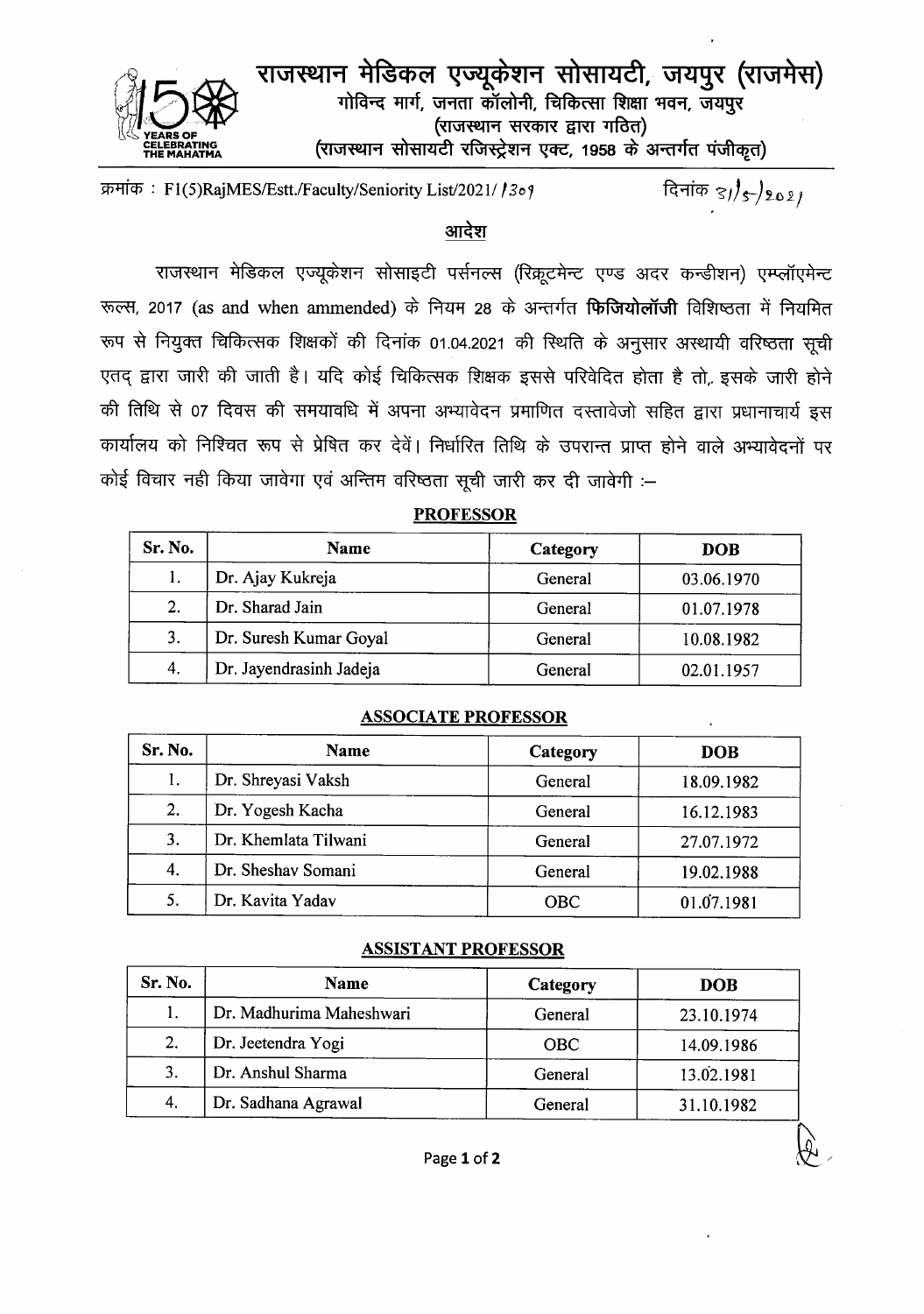

राजस्थान मेडिकल एज्यूकेशन सोसायटी, जयपुर (राजमेस) गोविन्द मार्ग, जनता कॉलोनी, चिकित्सा शिक्षा भवन, जयपुर (राजस्थान सरकार द्वारा गठित) (राजस्थान सोसायटी रजिस्ट्रेशन एक्ट, 1958 के अन्तर्गत पंजीकृत)

दिनांक  $\frac{3}{5}$ s 2021 क्रमांक: F1(5)RajMES/Estt./Faculty/Seniority List/2021/ / 309

## आदेश

राजस्थान मेडिकल एज्यूकेशन सोसाइटी पर्सनल्स (रिक्रूटमेन्ट एण्ड अदर कन्डीशन) एम्प्लॉएमेन्ट रूल्स, 2017 (as and when ammended) के नियम 28 के अन्तर्गत **फिजियोलॉजी** विशिष्ठता में नियमित रूप से नियुक्त चिकित्सक शिक्षकों की दिनांक 01.04.2021 की स्थिति के अनुसार अस्थायी वरिष्ठता सूची एतद् द्वारा जारी की जाती है। यदि कोई चिकित्सक शिक्षक इससे परिवेदित होता है तो, इसके जारी होने की तिथि से 07 दिवस की समयावधि में अपना अभ्यावेदन प्रमाणित दस्तावेजो सहित द्वारा प्रधानाचार्य इस कार्यालय को निश्चित रूप से प्रेषित कर देवें। निर्धारित तिथि के उपरान्त प्राप्त होने वाले अभ्यावेदनों पर कोई विचार नहीं किया जावेगा एवं अन्तिम वरिष्ठता सूची जारी कर दी जावेगी :-

## **PROFESSOR**

| Sr. No. | Name                    | Category | <b>DOB</b> |
|---------|-------------------------|----------|------------|
| 1.      | Dr. Ajay Kukreja        | General  | 03.06.1970 |
| 2.      | Dr. Sharad Jain         | General  | 01.07.1978 |
| 3.      | Dr. Suresh Kumar Goyal  | General  | 10.08.1982 |
| 4.      | Dr. Jayendrasinh Jadeja | General  | 02.01.1957 |

### **ASSOCIATE PROFESSOR**

| Sr. No. | Name                 | Category | <b>DOB</b> |
|---------|----------------------|----------|------------|
|         | Dr. Shreyasi Vaksh   | General  | 18.09.1982 |
| 2.      | Dr. Yogesh Kacha     | General  | 16.12.1983 |
| 3.      | Dr. Khemlata Tilwani | General  | 27.07.1972 |
| 4.      | Dr. Sheshav Somani   | General  | 19.02.1988 |
| 5.      | Dr. Kavita Yadav     | OBC      | 01.07.1981 |

#### **ASSISTANT PROFESSOR**

| Sr. No. | Name                     | Category   | <b>DOB</b> |
|---------|--------------------------|------------|------------|
|         | Dr. Madhurima Maheshwari | General    | 23.10.1974 |
| 2.      | Dr. Jeetendra Yogi       | <b>OBC</b> | 14.09.1986 |
| 3.      | Dr. Anshul Sharma        | General    | 13.02.1981 |
| 4.      | Dr. Sadhana Agrawal      | General    | 31.10.1982 |